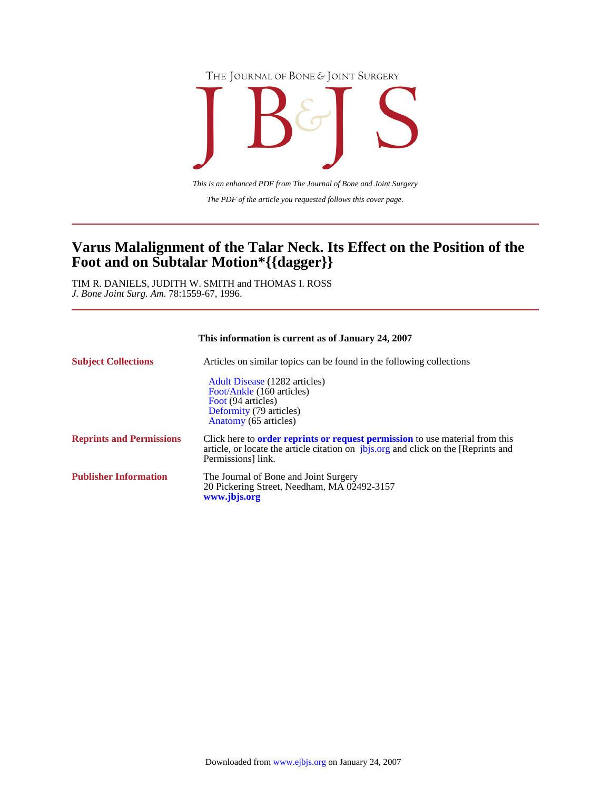



*The PDF of the article you requested follows this cover page. This is an enhanced PDF from The Journal of Bone and Joint Surgery*

# **Foot and on Subtalar Motion\*{{dagger}} Varus Malalignment of the Talar Neck. Its Effect on the Position of the**

*J. Bone Joint Surg. Am.* 78:1559-67, 1996. TIM R. DANIELS, JUDITH W. SMITH and THOMAS I. ROSS

| This information is current as of January 24, 2007 |                                                                                                                                                                                                       |  |  |
|----------------------------------------------------|-------------------------------------------------------------------------------------------------------------------------------------------------------------------------------------------------------|--|--|
| <b>Subject Collections</b>                         | Articles on similar topics can be found in the following collections                                                                                                                                  |  |  |
|                                                    | Adult Disease (1282 articles)<br>Foot/Ankle (160 articles)<br>Foot (94 articles)<br>Deformity (79 articles)<br>Anatomy (65 articles)                                                                  |  |  |
| <b>Reprints and Permissions</b>                    | Click here to <b>order reprints or request permission</b> to use material from this<br>article, or locate the article citation on <i>jbjs.org</i> and click on the [Reprints and<br>Permissions link. |  |  |
| <b>Publisher Information</b>                       | The Journal of Bone and Joint Surgery<br>20 Pickering Street, Needham, MA 02492-3157<br>www.jbjs.org                                                                                                  |  |  |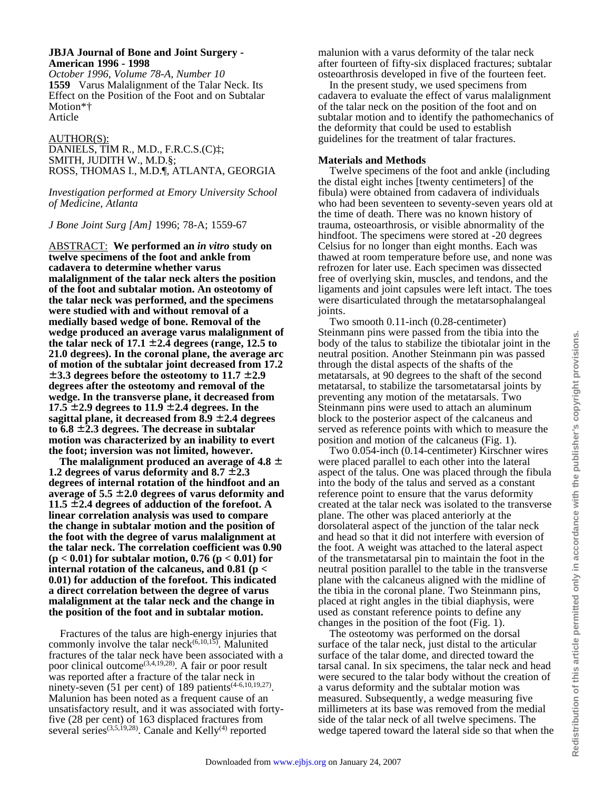## **JBJA Journal of Bone and Joint Surgery - American 1996 - 1998**

*October 1996, Volume 78-A, Number 10* **1559** Varus Malalignment of the Talar Neck. Its Effect on the Position of the Foot and on Subtalar Motion\*† Article

### AUTHOR(S):

DANIELS, TIM R., M.D., F.R.C.S.(C)‡; SMITH, JUDITH W., M.D.§; ROSS, THOMAS I., M.D.¶, ATLANTA, GEORGIA

*Investigation performed at Emory University School of Medicine, Atlanta*

*J Bone Joint Surg [Am]* 1996; 78-A; 1559-67

ABSTRACT: **We performed an** *in vitro* **study on twelve specimens of the foot and ankle from cadavera to determine whether varus malalignment of the talar neck alters the position of the foot and subtalar motion. An osteotomy of the talar neck was performed, and the specimens were studied with and without removal of a medially based wedge of bone. Removal of the wedge produced an average varus malalignment of**  the talar neck of  $17.1 \pm 2.4$  degrees (range, 12.5 to **21.0 degrees). In the coronal plane, the average arc of motion of the subtalar joint decreased from 17.2**  ± **3.3 degrees before the osteotomy to 11.7** ± **2.9 degrees after the osteotomy and removal of the wedge. In the transverse plane, it decreased from 17.5**  $\pm$  **2.9** degrees to 11.9  $\pm$  **2.4** degrees. In the **sagittal plane, it decreased from 8.9** ± **2.4 degrees to 6.8** ± **2.3 degrees. The decrease in subtalar motion was characterized by an inability to evert the foot; inversion was not limited, however.**

 **The malalignment produced an average of 4.8** ± **1.2 degrees of varus deformity and**  $8.7 \pm 2.3$ **degrees of internal rotation of the hindfoot and an average of 5.5** ± **2.0 degrees of varus deformity and 11.5** ± **2.4 degrees of adduction of the forefoot. A linear correlation analysis was used to compare the change in subtalar motion and the position of the foot with the degree of varus malalignment at the talar neck. The correlation coefficient was 0.90 (p < 0.01) for subtalar motion, 0.76 (p < 0.01) for internal rotation of the calcaneus, and 0.81 (p < 0.01) for adduction of the forefoot. This indicated a direct correlation between the degree of varus malalignment at the talar neck and the change in the position of the foot and in subtalar motion.**

 Fractures of the talus are high-energy injuries that commonly involve the talar neck $^{(6,10,15)}$ . Malunited fractures of the talar neck have been associated with a poor clinical outcome<sup>(3,4,19,28)</sup>. A fair or poor result was reported after a fracture of the talar neck in ninety-seven (51 per cent) of 189 patients<sup> $(4-6,10,19,27)$ </sup>. Malunion has been noted as a frequent cause of an unsatisfactory result, and it was associated with fortyfive (28 per cent) of 163 displaced fractures from several series<sup>(3,5,19,28)</sup>. Canale and Kelly<sup>(4)</sup> reported

malunion with a varus deformity of the talar neck after fourteen of fifty-six displaced fractures; subtalar osteoarthrosis developed in five of the fourteen feet.

 In the present study, we used specimens from cadavera to evaluate the effect of varus malalignment of the talar neck on the position of the foot and on subtalar motion and to identify the pathomechanics of the deformity that could be used to establish guidelines for the treatment of talar fractures.

## **Materials and Methods**

 Twelve specimens of the foot and ankle (including the distal eight inches [twenty centimeters] of the fibula) were obtained from cadavera of individuals who had been seventeen to seventy-seven years old at the time of death. There was no known history of trauma, osteoarthrosis, or visible abnormality of the hindfoot. The specimens were stored at -20 degrees Celsius for no longer than eight months. Each was thawed at room temperature before use, and none was refrozen for later use. Each specimen was dissected free of overlying skin, muscles, and tendons, and the ligaments and joint capsules were left intact. The toes were disarticulated through the metatarsophalangeal joints.

 Two smooth 0.11-inch (0.28-centimeter) Steinmann pins were passed from the tibia into the body of the talus to stabilize the tibiotalar joint in the neutral position. Another Steinmann pin was passed through the distal aspects of the shafts of the metatarsals, at 90 degrees to the shaft of the second metatarsal, to stabilize the tarsometatarsal joints by preventing any motion of the metatarsals. Two Steinmann pins were used to attach an aluminum block to the posterior aspect of the calcaneus and served as reference points with which to measure the position and motion of the calcaneus (Fig. 1).

 Two 0.054-inch (0.14-centimeter) Kirschner wires were placed parallel to each other into the lateral aspect of the talus. One was placed through the fibula into the body of the talus and served as a constant reference point to ensure that the varus deformity created at the talar neck was isolated to the transverse plane. The other was placed anteriorly at the dorsolateral aspect of the junction of the talar neck and head so that it did not interfere with eversion of the foot. A weight was attached to the lateral aspect of the transmetatarsal pin to maintain the foot in the neutral position parallel to the table in the transverse plane with the calcaneus aligned with the midline of the tibia in the coronal plane. Two Steinmann pins, placed at right angles in the tibial diaphysis, were used as constant reference points to define any changes in the position of the foot (Fig. 1).

 The osteotomy was performed on the dorsal surface of the talar neck, just distal to the articular surface of the talar dome, and directed toward the tarsal canal. In six specimens, the talar neck and head were secured to the talar body without the creation of a varus deformity and the subtalar motion was measured. Subsequently, a wedge measuring five millimeters at its base was removed from the medial side of the talar neck of all twelve specimens. The wedge tapered toward the lateral side so that when the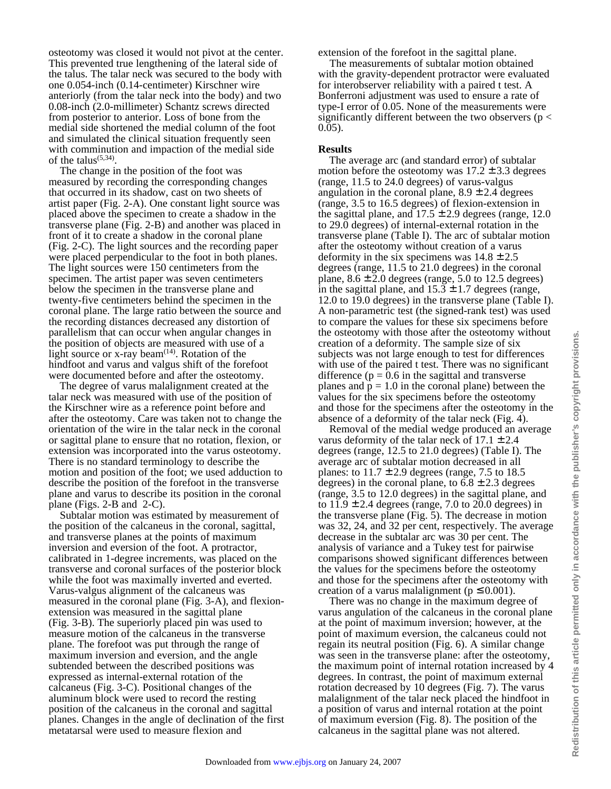osteotomy was closed it would not pivot at the center. This prevented true lengthening of the lateral side of the talus. The talar neck was secured to the body with one 0.054-inch (0.14-centimeter) Kirschner wire anteriorly (from the talar neck into the body) and two 0.08-inch (2.0-millimeter) Schantz screws directed from posterior to anterior. Loss of bone from the medial side shortened the medial column of the foot and simulated the clinical situation frequently seen with comminution and impaction of the medial side of the talus<sup> $(5,34)$ </sup>.

The change in the position of the foot was. measured by recording the corresponding changes that occurred in its shadow, cast on two sheets of artist paper (Fig. 2-A). One constant light source was placed above the specimen to create a shadow in the transverse plane (Fig. 2-B) and another was placed in front of it to create a shadow in the coronal plane (Fig. 2-C). The light sources and the recording paper were placed perpendicular to the foot in both planes. The light sources were 150 centimeters from the specimen. The artist paper was seven centimeters below the specimen in the transverse plane and twenty-five centimeters behind the specimen in the coronal plane. The large ratio between the source and the recording distances decreased any distortion of parallelism that can occur when angular changes in the position of objects are measured with use of a light source or x-ray beam $(14)$ . Rotation of the hindfoot and varus and valgus shift of the forefoot were documented before and after the osteotomy.

 The degree of varus malalignment created at the talar neck was measured with use of the position of the Kirschner wire as a reference point before and after the osteotomy. Care was taken not to change the orientation of the wire in the talar neck in the coronal or sagittal plane to ensure that no rotation, flexion, or extension was incorporated into the varus osteotomy. There is no standard terminology to describe the motion and position of the foot; we used adduction to describe the position of the forefoot in the transverse plane and varus to describe its position in the coronal plane (Figs. 2-B and 2-C).

 Subtalar motion was estimated by measurement of the position of the calcaneus in the coronal, sagittal, and transverse planes at the points of maximum inversion and eversion of the foot. A protractor, calibrated in 1-degree increments, was placed on the transverse and coronal surfaces of the posterior block while the foot was maximally inverted and everted. Varus-valgus alignment of the calcaneus was measured in the coronal plane (Fig. 3-A), and flexionextension was measured in the sagittal plane (Fig. 3-B). The superiorly placed pin was used to measure motion of the calcaneus in the transverse plane. The forefoot was put through the range of maximum inversion and eversion, and the angle subtended between the described positions was expressed as internal-external rotation of the calcaneus (Fig. 3-C). Positional changes of the aluminum block were used to record the resting position of the calcaneus in the coronal and sagittal planes. Changes in the angle of declination of the first metatarsal were used to measure flexion and

extension of the forefoot in the sagittal plane.

 The measurements of subtalar motion obtained with the gravity-dependent protractor were evaluated for interobserver reliability with a paired t test. A Bonferroni adjustment was used to ensure a rate of type-I error of 0.05. None of the measurements were significantly different between the two observers ( $p <$ 0.05).

#### **Results**

 The average arc (and standard error) of subtalar motion before the osteotomy was  $17.2 \pm 3.3$  degrees (range, 11.5 to 24.0 degrees) of varus-valgus angulation in the coronal plane,  $8.9 \pm 2.4$  degrees (range, 3.5 to 16.5 degrees) of flexion-extension in the sagittal plane, and  $17.5 \pm 2.9$  degrees (range, 12.0) to 29.0 degrees) of internal-external rotation in the transverse plane (Table I). The arc of subtalar motion after the osteotomy without creation of a varus deformity in the six specimens was  $14.8 \pm 2.5$ degrees (range, 11.5 to 21.0 degrees) in the coronal plane,  $8.6 \pm 2.0$  degrees (range, 5.0 to 12.5 degrees) in the sagittal plane, and  $15.3 \pm 1.7$  degrees (range, 12.0 to 19.0 degrees) in the transverse plane (Table I). A non-parametric test (the signed-rank test) was used to compare the values for these six specimens before the osteotomy with those after the osteotomy without creation of a deformity. The sample size of six subjects was not large enough to test for differences with use of the paired t test. There was no significant difference ( $p = 0.6$  in the sagittal and transverse planes and  $p = 1.0$  in the coronal plane) between the values for the six specimens before the osteotomy and those for the specimens after the osteotomy in the absence of a deformity of the talar neck (Fig. 4).

 Removal of the medial wedge produced an average varus deformity of the talar neck of  $17.1 \pm 2.4$ degrees (range, 12.5 to 21.0 degrees) (Table I). The average arc of subtalar motion decreased in all planes: to  $11.7 \pm 2.9$  degrees (range, 7.5 to 18.5 degrees) in the coronal plane, to  $6.8 \pm 2.3$  degrees (range, 3.5 to 12.0 degrees) in the sagittal plane, and to  $11.9 \pm 2.4$  degrees (range, 7.0 to 20.0 degrees) in the transverse plane (Fig. 5). The decrease in motion was 32, 24, and 32 per cent, respectively. The average decrease in the subtalar arc was 30 per cent. The analysis of variance and a Tukey test for pairwise comparisons showed significant differences between the values for the specimens before the osteotomy and those for the specimens after the osteotomy with creation of a varus malalignment ( $p \le 0.001$ ).

 There was no change in the maximum degree of varus angulation of the calcaneus in the coronal plane at the point of maximum inversion; however, at the point of maximum eversion, the calcaneus could not regain its neutral position (Fig. 6). A similar change was seen in the transverse plane: after the osteotomy, the maximum point of internal rotation increased by 4 degrees. In contrast, the point of maximum external rotation decreased by 10 degrees (Fig. 7). The varus malalignment of the talar neck placed the hindfoot in a position of varus and internal rotation at the point of maximum eversion (Fig. 8). The position of the calcaneus in the sagittal plane was not altered.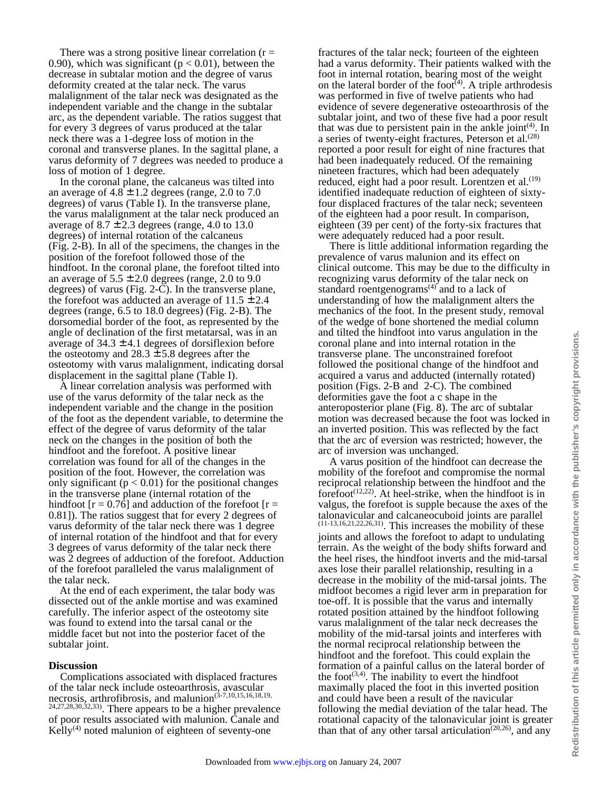There was a strong positive linear correlation  $(r =$ 0.90), which was significant ( $p < 0.01$ ), between the decrease in subtalar motion and the degree of varus deformity created at the talar neck. The varus malalignment of the talar neck was designated as the independent variable and the change in the subtalar arc, as the dependent variable. The ratios suggest that for every 3 degrees of varus produced at the talar neck there was a 1-degree loss of motion in the coronal and transverse planes. In the sagittal plane, a varus deformity of 7 degrees was needed to produce a loss of motion of 1 degree.

 In the coronal plane, the calcaneus was tilted into an average of  $4.8 \pm 1.2$  degrees (range, 2.0 to 7.0 degrees) of varus (Table I). In the transverse plane, the varus malalignment at the talar neck produced an average of  $8.7 \pm 2.3$  degrees (range, 4.0 to 13.0) degrees) of internal rotation of the calcaneus (Fig. 2-B). In all of the specimens, the changes in the position of the forefoot followed those of the hindfoot. In the coronal plane, the forefoot tilted into an average of  $5.5 \pm 2.0$  degrees (range, 2.0 to 9.0 degrees) of varus (Fig. 2-C). In the transverse plane, the forefoot was adducted an average of  $11.5 \pm 2.4$ degrees (range, 6.5 to 18.0 degrees) (Fig. 2-B). The dorsomedial border of the foot, as represented by the angle of declination of the first metatarsal, was in an average of  $34.3 \pm 4.1$  degrees of dorsiflexion before the osteotomy and  $28.3 \pm 5.8$  degrees after the osteotomy with varus malalignment, indicating dorsal displacement in the sagittal plane (Table I).

 A linear correlation analysis was performed with use of the varus deformity of the talar neck as the independent variable and the change in the position of the foot as the dependent variable, to determine the effect of the degree of varus deformity of the talar neck on the changes in the position of both the hindfoot and the forefoot. A positive linear correlation was found for all of the changes in the position of the foot. However, the correlation was only significant ( $p < 0.01$ ) for the positional changes in the transverse plane (internal rotation of the hindfoot  $[r = 0.76]$  and adduction of the forefoot  $[r = 1]$ 0.81]). The ratios suggest that for every 2 degrees of varus deformity of the talar neck there was 1 degree of internal rotation of the hindfoot and that for every 3 degrees of varus deformity of the talar neck there was 2 degrees of adduction of the forefoot. Adduction of the forefoot paralleled the varus malalignment of the talar neck.

 At the end of each experiment, the talar body was dissected out of the ankle mortise and was examined carefully. The inferior aspect of the osteotomy site was found to extend into the tarsal canal or the middle facet but not into the posterior facet of the subtalar joint.

#### **Discussion**

 Complications associated with displaced fractures of the talar neck include osteoarthrosis, avascular necrosis, arthrofibrosis, and malunion<sup> $(3-7,10,15,16,18,19,$ </sup> 24,27,28,30,32,33). There appears to be a higher prevalence of poor results associated with malunion. Canale and Kelly $(4)$  noted malunion of eighteen of seventy-one

fractures of the talar neck; fourteen of the eighteen had a varus deformity. Their patients walked with the foot in internal rotation, bearing most of the weight on the lateral border of the foot<sup> $(4)$ </sup>. A triple arthrodesis was performed in five of twelve patients who had evidence of severe degenerative osteoarthrosis of the subtalar joint, and two of these five had a poor result that was due to persistent pain in the ankle joint<sup>(4)</sup>. In a series of twenty-eight fractures, Peterson et al.<sup>(28)</sup> reported a poor result for eight of nine fractures that had been inadequately reduced. Of the remaining nineteen fractures, which had been adequately reduced, eight had a poor result. Lorentzen et al.<sup>(19)</sup> identified inadequate reduction of eighteen of sixtyfour displaced fractures of the talar neck; seventeen of the eighteen had a poor result. In comparison, eighteen (39 per cent) of the forty-six fractures that were adequately reduced had a poor result.

 There is little additional information regarding the prevalence of varus malunion and its effect on clinical outcome. This may be due to the difficulty in recognizing varus deformity of the talar neck on standard roentgenograms $(4)$  and to a lack of understanding of how the malalignment alters the mechanics of the foot. In the present study, removal of the wedge of bone shortened the medial column and tilted the hindfoot into varus angulation in the coronal plane and into internal rotation in the transverse plane. The unconstrained forefoot followed the positional change of the hindfoot and acquired a varus and adducted (internally rotated) position (Figs. 2-B and 2-C). The combined deformities gave the foot a c shape in the anteroposterior plane (Fig. 8). The arc of subtalar motion was decreased because the foot was locked in an inverted position. This was reflected by the fact that the arc of eversion was restricted; however, the arc of inversion was unchanged.

 A varus position of the hindfoot can decrease the mobility of the forefoot and compromise the normal reciprocal relationship between the hindfoot and the forefoot $(12,22)$ . At heel-strike, when the hindfoot is in valgus, the forefoot is supple because the axes of the talonavicular and calcaneocuboid joints are parallel (11-13,16,21,22,26,31). This increases the mobility of these joints and allows the forefoot to adapt to undulating terrain. As the weight of the body shifts forward and the heel rises, the hindfoot inverts and the mid-tarsal axes lose their parallel relationship, resulting in a decrease in the mobility of the mid-tarsal joints. The midfoot becomes a rigid lever arm in preparation for toe-off. It is possible that the varus and internally rotated position attained by the hindfoot following varus malalignment of the talar neck decreases the mobility of the mid-tarsal joints and interferes with the normal reciprocal relationship between the hindfoot and the forefoot. This could explain the formation of a painful callus on the lateral border of the foot $(3,4)$ . The inability to evert the hindfoot maximally placed the foot in this inverted position and could have been a result of the navicular following the medial deviation of the talar head. The rotational capacity of the talonavicular joint is greater than that of any other tarsal articulation<sup> $(20,26)$ </sup>, and any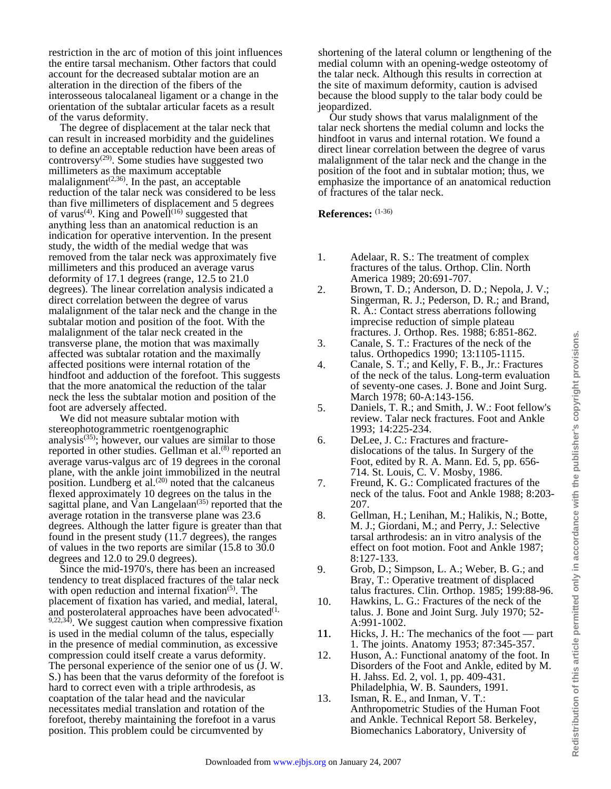restriction in the arc of motion of this joint influences the entire tarsal mechanism. Other factors that could account for the decreased subtalar motion are an alteration in the direction of the fibers of the interosseous talocalaneal ligament or a change in the orientation of the subtalar articular facets as a result of the varus deformity.

 The degree of displacement at the talar neck that can result in increased morbidity and the guidelines to define an acceptable reduction have been areas of controversy<sup>(29)</sup>. Some studies have suggested two millimeters as the maximum acceptable malalignment<sup> $(2,36)$ </sup>. In the past, an acceptable reduction of the talar neck was considered to be less than five millimeters of displacement and 5 degrees of varus<sup>(4)</sup>. King and Powell<sup>(16)</sup> suggested that anything less than an anatomical reduction is an indication for operative intervention. In the present study, the width of the medial wedge that was removed from the talar neck was approximately five millimeters and this produced an average varus deformity of 17.1 degrees (range, 12.5 to 21.0 degrees). The linear correlation analysis indicated a direct correlation between the degree of varus malalignment of the talar neck and the change in the subtalar motion and position of the foot. With the malalignment of the talar neck created in the transverse plane, the motion that was maximally affected was subtalar rotation and the maximally affected positions were internal rotation of the hindfoot and adduction of the forefoot. This suggests that the more anatomical the reduction of the talar neck the less the subtalar motion and position of the foot are adversely affected.

 We did not measure subtalar motion with stereophotogrammetric roentgenographic analysis $(35)$ ; however, our values are similar to those reported in other studies. Gellman et al.<sup>(8)</sup> reported an average varus-valgus arc of 19 degrees in the coronal plane, with the ankle joint immobilized in the neutral position. Lundberg et al. $^{(20)}$  noted that the calcaneus flexed approximately 10 degrees on the talus in the sagittal plane, and Van Langelaan<sup> $(35)$ </sup> reported that the average rotation in the transverse plane was 23.6 degrees. Although the latter figure is greater than that found in the present study (11.7 degrees), the ranges of values in the two reports are similar (15.8 to 30.0 degrees and 12.0 to 29.0 degrees).

 Since the mid-1970's, there has been an increased tendency to treat displaced fractures of the talar neck with open reduction and internal fixation $(5)$ . The placement of fixation has varied, and medial, lateral, and posterolateral approaches have been advocated $(1, 1)$ 9,22,34). We suggest caution when compressive fixation is used in the medial column of the talus, especially in the presence of medial comminution, as excessive compression could itself create a varus deformity. The personal experience of the senior one of us (J. W. S.) has been that the varus deformity of the forefoot is hard to correct even with a triple arthrodesis, as coaptation of the talar head and the navicular necessitates medial translation and rotation of the forefoot, thereby maintaining the forefoot in a varus position. This problem could be circumvented by

shortening of the lateral column or lengthening of the medial column with an opening-wedge osteotomy of the talar neck. Although this results in correction at the site of maximum deformity, caution is advised because the blood supply to the talar body could be jeopardized.

 Our study shows that varus malalignment of the talar neck shortens the medial column and locks the hindfoot in varus and internal rotation. We found a direct linear correlation between the degree of varus malalignment of the talar neck and the change in the position of the foot and in subtalar motion; thus, we emphasize the importance of an anatomical reduction of fractures of the talar neck.

**References:** (1-36)

- 1. Adelaar, R. S.: The treatment of complex fractures of the talus. Orthop. Clin. North America 1989; 20:691-707.
- 2. Brown, T. D.; Anderson, D. D.; Nepola, J. V.; Singerman, R. J.; Pederson, D. R.; and Brand, R. A.: Contact stress aberrations following imprecise reduction of simple plateau fractures. J. Orthop. Res. 1988; 6:851-862.
- 3. Canale, S. T.: Fractures of the neck of the talus. Orthopedics 1990; 13:1105-1115.
- 4. Canale, S. T.; and Kelly, F. B., Jr.: Fractures of the neck of the talus. Long-term evaluation of seventy-one cases. J. Bone and Joint Surg. March 1978; 60-A:143-156.
- 5. Daniels, T. R.; and Smith, J. W.: Foot fellow's review. Talar neck fractures. Foot and Ankle 1993; 14:225-234.
- 6. DeLee, J. C.: Fractures and fracturedislocations of the talus. In Surgery of the Foot, edited by R. A. Mann. Ed. 5, pp. 656- 714. St. Louis, C. V. Mosby, 1986.
- 7. Freund, K. G.: Complicated fractures of the neck of the talus. Foot and Ankle 1988; 8:203- 207.
- 8. Gellman, H.; Lenihan, M.; Halikis, N.; Botte, M. J.; Giordani, M.; and Perry, J.: Selective tarsal arthrodesis: an in vitro analysis of the effect on foot motion. Foot and Ankle 1987; 8:127-133.
- 9. Grob, D.; Simpson, L. A.; Weber, B. G.; and Bray, T.: Operative treatment of displaced talus fractures. Clin. Orthop. 1985; 199:88-96.
- 10. Hawkins, L. G.: Fractures of the neck of the talus. J. Bone and Joint Surg. July 1970; 52- A:991-1002.
- 11. Hicks, J. H.: The mechanics of the foot part 1. The joints. Anatomy 1953; 87:345-357.
- 12. Huson, A.: Functional anatomy of the foot. In Disorders of the Foot and Ankle, edited by M. H. Jahss. Ed. 2, vol. 1, pp. 409-431. Philadelphia, W. B. Saunders, 1991.
- 13. Isman, R. E., and Inman, V. T.: Anthropometric Studies of the Human Foot and Ankle. Technical Report 58. Berkeley, Biomechanics Laboratory, University of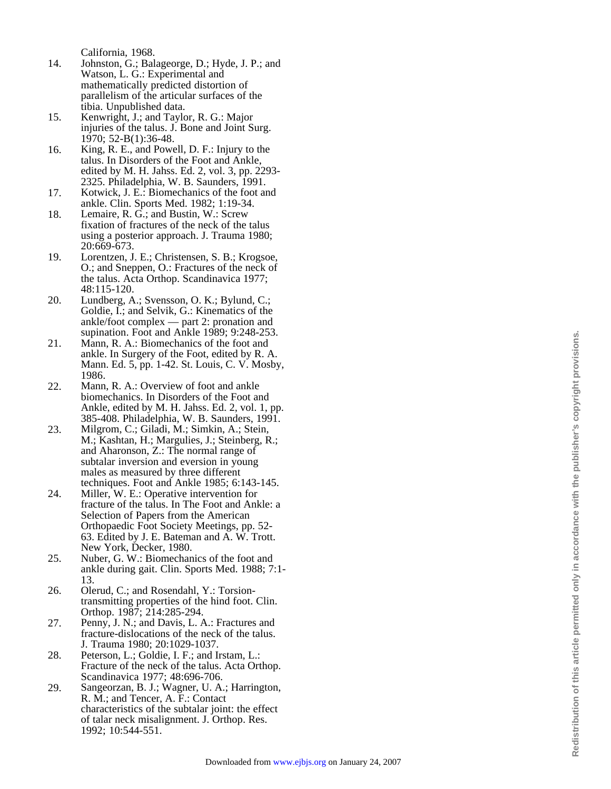California, 1968.

- 14. Johnston, G.; Balageorge, D.; Hyde, J. P.; and Watson, L. G.: Experimental and mathematically predicted distortion of parallelism of the articular surfaces of the tibia. Unpublished data.
- 15. Kenwright, J.; and Taylor, R. G.: Major injuries of the talus. J. Bone and Joint Surg. 1970; 52-B(1):36-48.
- 16. King, R. E., and Powell, D. F.: Injury to the talus. In Disorders of the Foot and Ankle, edited by M. H. Jahss. Ed. 2, vol. 3, pp. 2293- 2325. Philadelphia, W. B. Saunders, 1991.
- 17. Kotwick, J. E.: Biomechanics of the foot and ankle. Clin. Sports Med. 1982; 1:19-34.
- 18. Lemaire, R. G.; and Bustin, W.: Screw fixation of fractures of the neck of the talus using a posterior approach. J. Trauma 1980; 20:669-673.
- 19. Lorentzen, J. E.; Christensen, S. B.; Krogsoe, O.; and Sneppen, O.: Fractures of the neck of the talus. Acta Orthop. Scandinavica 1977; 48:115-120.
- 20. Lundberg, A.; Svensson, O. K.; Bylund, C.; Goldie, I.; and Selvik, G.: Kinematics of the ankle/foot complex — part 2: pronation and supination. Foot and Ankle 1989; 9:248-253.
- 21. Mann, R. A.: Biomechanics of the foot and ankle. In Surgery of the Foot, edited by R. A. Mann. Ed. 5, pp. 1-42. St. Louis, C. V. Mosby, 1986.
- 22. Mann, R. A.: Overview of foot and ankle biomechanics. In Disorders of the Foot and Ankle, edited by M. H. Jahss. Ed. 2, vol. 1, pp. 385-408. Philadelphia, W. B. Saunders, 1991.
- 23. Milgrom, C.; Giladi, M.; Simkin, A.; Stein, M.; Kashtan, H.; Margulies, J.; Steinberg, R.; and Aharonson, Z.: The normal range of subtalar inversion and eversion in young males as measured by three different techniques. Foot and Ankle 1985; 6:143-145.
- 24. Miller, W. E.: Operative intervention for fracture of the talus. In The Foot and Ankle: a Selection of Papers from the American Orthopaedic Foot Society Meetings, pp. 52- 63. Edited by J. E. Bateman and A. W. Trott. New York, Decker, 1980.
- 25. Nuber, G. W.: Biomechanics of the foot and ankle during gait. Clin. Sports Med. 1988; 7:1- 13.
- 26. Olerud, C.; and Rosendahl, Y.: Torsiontransmitting properties of the hind foot. Clin. Orthop. 1987; 214:285-294.
- 27. Penny, J. N.; and Davis, L. A.: Fractures and fracture-dislocations of the neck of the talus. J. Trauma 1980; 20:1029-1037.
- 28. Peterson, L.; Goldie, I. F.; and Irstam, L.: Fracture of the neck of the talus. Acta Orthop. Scandinavica 1977; 48:696-706.
- 29. Sangeorzan, B. J.; Wagner, U. A.; Harrington, R. M.; and Tencer, A. F.: Contact characteristics of the subtalar joint: the effect of talar neck misalignment. J. Orthop. Res. 1992; 10:544-551.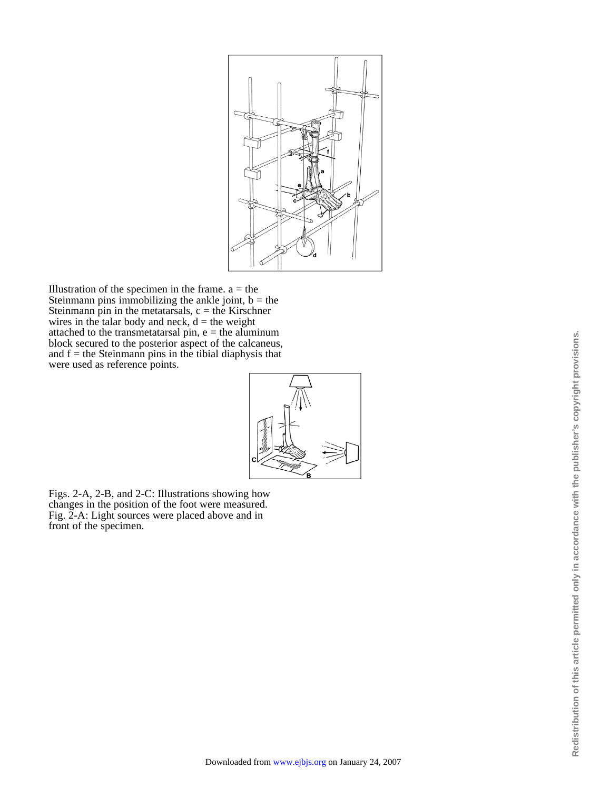

Illustration of the specimen in the frame.  $a =$  the Steinmann pins immobilizing the ankle joint,  $b =$  the Steinmann pin in the metatarsals,  $c =$  the Kirschner wires in the talar body and neck,  $d =$  the weight attached to the transmetatarsal pin,  $e =$  the aluminum block secured to the posterior aspect of the calcaneus, and  $f =$  the Steinmann pins in the tibial diaphysis that were used as reference points.



Figs. 2-A, 2-B, and 2-C: Illustrations showing how changes in the position of the foot were measured. Fig. 2-A: Light sources were placed above and in front of the specimen.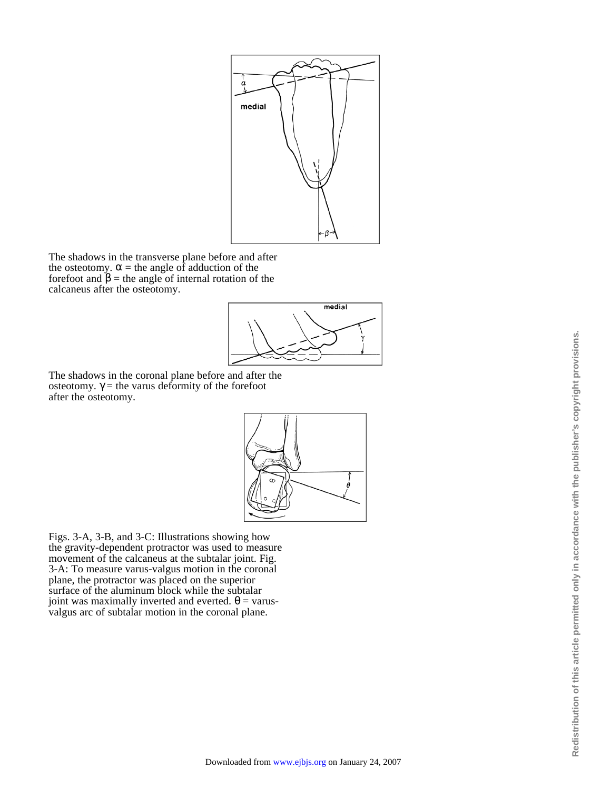

The shadows in the transverse plane before and after the osteotomy.  $\alpha$  = the angle of adduction of the forefoot and  $\beta$  = the angle of internal rotation of the calcaneus after the osteotomy.



The shadows in the coronal plane before and after the osteotomy.  $\gamma$  = the varus deformity of the forefoot after the osteotomy.



Figs. 3-A, 3-B, and 3-C: Illustrations showing how the gravity-dependent protractor was used to measure movement of the calcaneus at the subtalar joint. Fig. 3-A: To measure varus-valgus motion in the coronal plane, the protractor was placed on the superior surface of the aluminum block while the subtalar joint was maximally inverted and everted.  $\theta$  = varusvalgus arc of subtalar motion in the coronal plane.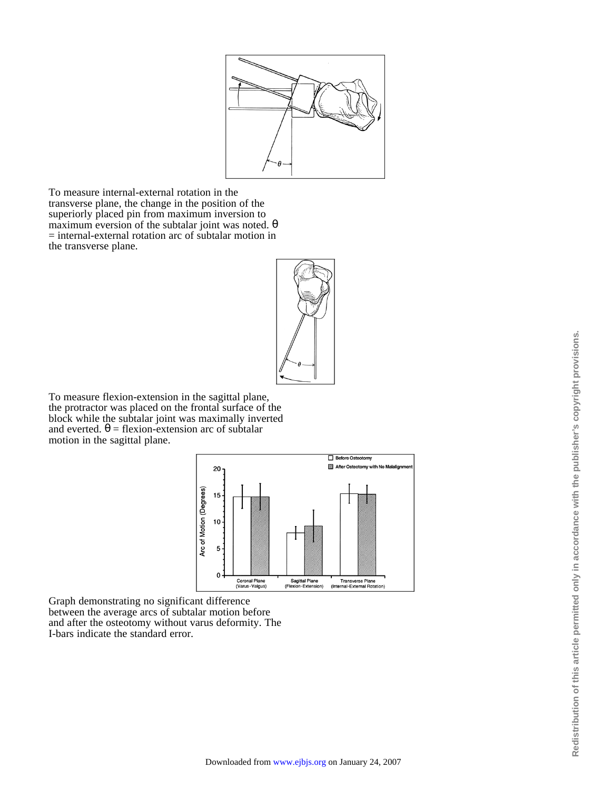

To measure internal-external rotation in the transverse plane, the change in the position of the superiorly placed pin from maximum inversion to maximum eversion of the subtalar joint was noted. θ = internal-external rotation arc of subtalar motion in the transverse plane.



To measure flexion-extension in the sagittal plane, the protractor was placed on the frontal surface of the block while the subtalar joint was maximally inverted and everted.  $\theta$  = flexion-extension arc of subtalar motion in the sagittal plane.



Graph demonstrating no significant difference between the average arcs of subtalar motion before and after the osteotomy without varus deformity. The I-bars indicate the standard error.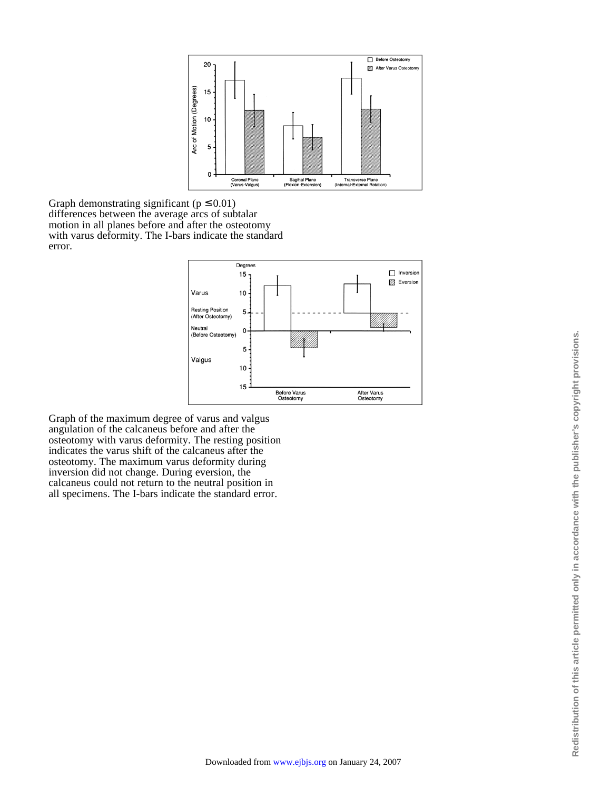

Graph demonstrating significant ( $p \le 0.01$ ) differences between the average arcs of subtalar motion in all planes before and after the osteotomy with varus deformity. The I-bars indicate the standard error.



Graph of the maximum degree of varus and valgus angulation of the calcaneus before and after the osteotomy with varus deformity. The resting position indicates the varus shift of the calcaneus after the osteotomy. The maximum varus deformity during inversion did not change. During eversion, the calcaneus could not return to the neutral position in all specimens. The I-bars indicate the standard error.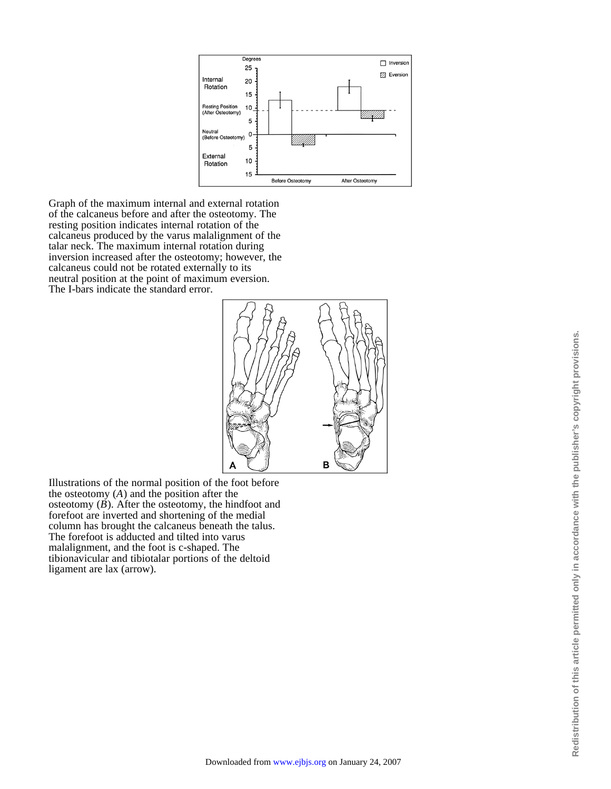

Graph of the maximum internal and external rotation of the calcaneus before and after the osteotomy. The resting position indicates internal rotation of the calcaneus produced by the varus malalignment of the talar neck. The maximum internal rotation during inversion increased after the osteotomy; however, the calcaneus could not be rotated externally to its neutral position at the point of maximum eversion. The I-bars indicate the standard error.



Illustrations of the normal position of the foot before the osteotomy (*A*) and the position after the osteotomy  $(B)$ . After the osteotomy, the hindfoot and forefoot are inverted and shortening of the medial column has brought the calcaneus beneath the talus. The forefoot is adducted and tilted into varus malalignment, and the foot is c-shaped. The tibionavicular and tibiotalar portions of the deltoid ligament are lax (arrow).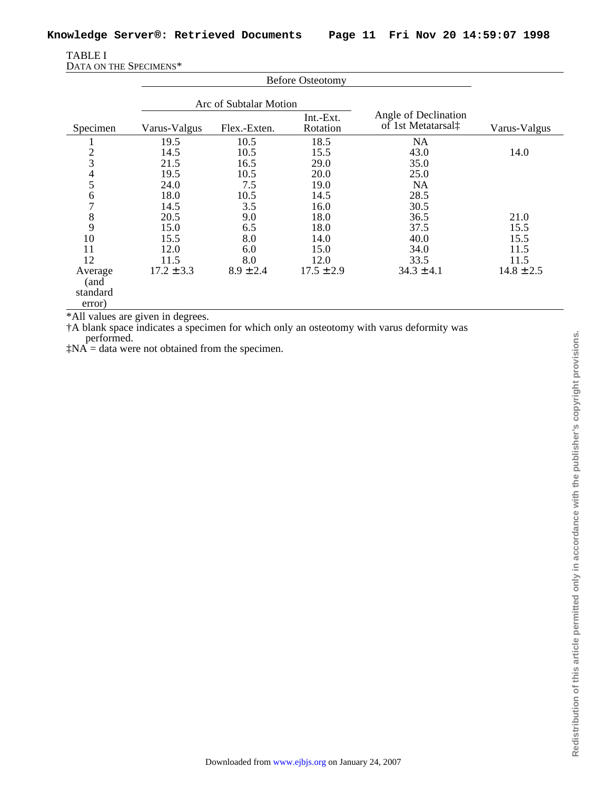| <b>TABLE I</b>         |  |
|------------------------|--|
| DATA ON THE SPECIMENS* |  |

|                                       | <b>Before Osteotomy</b> |               |                       |                                            |                |
|---------------------------------------|-------------------------|---------------|-----------------------|--------------------------------------------|----------------|
|                                       | Arc of Subtalar Motion  |               |                       |                                            |                |
| Specimen                              | Varus-Valgus            | Flex.-Exten.  | Int.-Ext.<br>Rotation | Angle of Declination<br>of 1st Metatarsal‡ | Varus-Valgus   |
|                                       | 19.5                    | 10.5          | 18.5                  | <b>NA</b>                                  |                |
| $\overline{2}$                        | 14.5                    | 10.5          | 15.5                  | 43.0                                       | 14.0           |
| 3                                     | 21.5                    | 16.5          | 29.0                  | 35.0                                       |                |
| 4                                     | 19.5                    | 10.5          | 20.0                  | 25.0                                       |                |
| 5                                     | 24.0                    | 7.5           | 19.0                  | <b>NA</b>                                  |                |
| 6                                     | 18.0                    | 10.5          | 14.5                  | 28.5                                       |                |
| 7                                     | 14.5                    | 3.5           | 16.0                  | 30.5                                       |                |
| 8                                     | 20.5                    | 9.0           | 18.0                  | 36.5                                       | 21.0           |
| 9                                     | 15.0                    | 6.5           | 18.0                  | 37.5                                       | 15.5           |
| 10                                    | 15.5                    | 8.0           | 14.0                  | 40.0                                       | 15.5           |
| 11                                    | 12.0                    | 6.0           | 15.0                  | 34.0                                       | 11.5           |
| 12                                    | 11.5                    | 8.0           | 12.0                  | 33.5                                       | 11.5           |
| Average<br>(and<br>standard<br>error) | $17.2 \pm 3.3$          | $8.9 \pm 2.4$ | $17.5 \pm 2.9$        | $34.3 \pm 4.1$                             | $14.8 \pm 2.5$ |

\*All values are given in degrees.

†A blank space indicates a specimen for which only an osteotomy with varus deformity was performed.

 $\ddagger$ NA = data were not obtained from the specimen.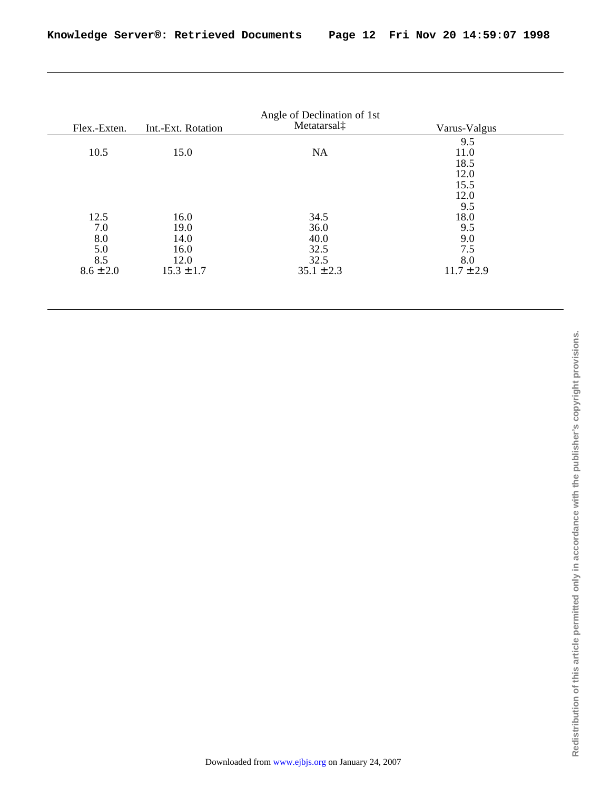| Flex.-Exten.  | Int.-Ext. Rotation | Metatarsal‡    | Varus-Valgus   |
|---------------|--------------------|----------------|----------------|
|               |                    |                | 9.5            |
| 10.5          | 15.0               | <b>NA</b>      | 11.0           |
|               |                    |                | 18.5           |
|               |                    |                | 12.0           |
|               |                    |                | 15.5           |
|               |                    |                | 12.0           |
|               |                    |                | 9.5            |
| 12.5          | 16.0               | 34.5           | 18.0           |
| 7.0           | 19.0               | 36.0           | 9.5            |
| 8.0           | 14.0               | 40.0           | 9.0            |
| 5.0           | 16.0               | 32.5           | 7.5            |
| 8.5           | 12.0               | 32.5           | 8.0            |
| $8.6 \pm 2.0$ | $15.3 \pm 1.7$     | $35.1 \pm 2.3$ | $11.7 \pm 2.9$ |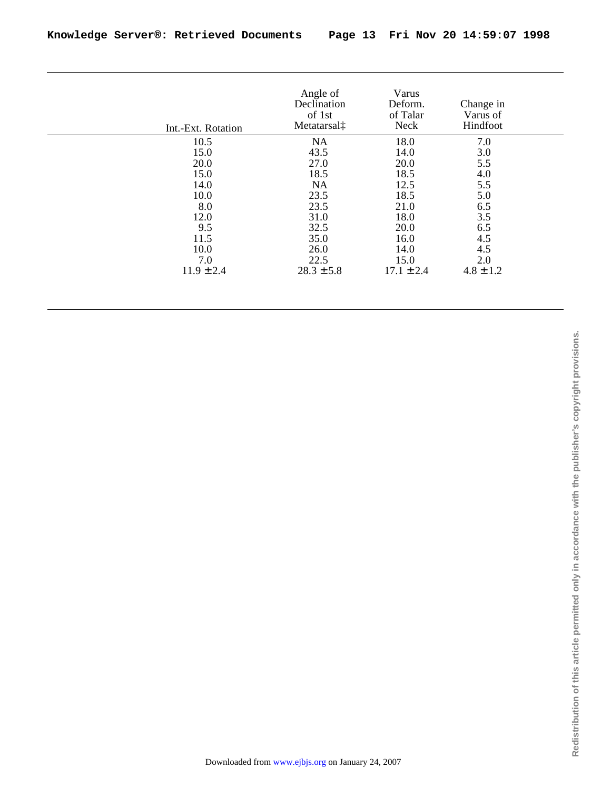| Int.-Ext. Rotation | Angle of<br>Declination<br>of 1st<br>Metatarsal‡ | Varus<br>Deform.<br>of Talar<br><b>Neck</b> | Change in<br>Varus of<br>Hindfoot |
|--------------------|--------------------------------------------------|---------------------------------------------|-----------------------------------|
| 10.5               | <b>NA</b>                                        | 18.0                                        | 7.0                               |
| 15.0               | 43.5                                             | 14.0                                        | 3.0                               |
| 20.0               | 27.0                                             | 20.0                                        | 5.5                               |
| 15.0               | 18.5                                             | 18.5                                        | 4.0                               |
| 14.0               | <b>NA</b>                                        | 12.5                                        | 5.5                               |
| 10.0               | 23.5                                             | 18.5                                        | 5.0                               |
| 8.0                | 23.5                                             | 21.0                                        | 6.5                               |
| 12.0               | 31.0                                             | 18.0                                        | 3.5                               |
| 9.5                | 32.5                                             | 20.0                                        | 6.5                               |
| 11.5               | 35.0                                             | 16.0                                        | 4.5                               |
| 10.0               | 26.0                                             | 14.0                                        | 4.5                               |
| 7.0                | 22.5                                             | 15.0                                        | 2.0                               |
| $11.9 \pm 2.4$     | $28.3 \pm 5.8$                                   | $17.1 \pm 2.4$                              | $4.8 \pm 1.2$                     |